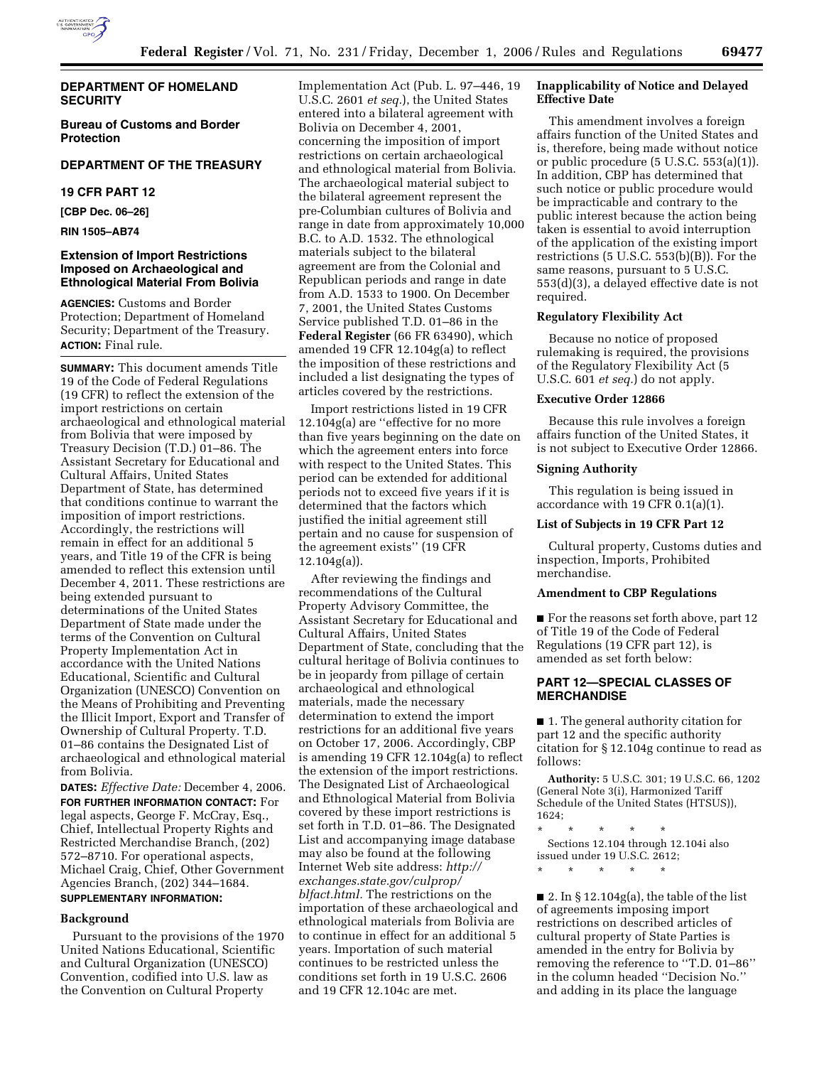

## **DEPARTMENT OF HOMELAND SECURITY**

**Bureau of Customs and Border Protection** 

## **DEPARTMENT OF THE TREASURY**

### **19 CFR PART 12**

**[CBP Dec. 06–26]** 

**RIN 1505–AB74** 

## **Extension of Import Restrictions Imposed on Archaeological and Ethnological Material From Bolivia**

**AGENCIES:** Customs and Border Protection; Department of Homeland Security; Department of the Treasury. **ACTION:** Final rule.

**SUMMARY:** This document amends Title 19 of the Code of Federal Regulations (19 CFR) to reflect the extension of the import restrictions on certain archaeological and ethnological material from Bolivia that were imposed by Treasury Decision (T.D.) 01–86. The Assistant Secretary for Educational and Cultural Affairs, United States Department of State, has determined that conditions continue to warrant the imposition of import restrictions. Accordingly, the restrictions will remain in effect for an additional 5 years, and Title 19 of the CFR is being amended to reflect this extension until December 4, 2011. These restrictions are being extended pursuant to determinations of the United States Department of State made under the terms of the Convention on Cultural Property Implementation Act in accordance with the United Nations Educational, Scientific and Cultural Organization (UNESCO) Convention on the Means of Prohibiting and Preventing the Illicit Import, Export and Transfer of Ownership of Cultural Property. T.D. 01–86 contains the Designated List of archaeological and ethnological material from Bolivia.

**DATES:** *Effective Date:* December 4, 2006. **FOR FURTHER INFORMATION CONTACT:** For legal aspects, George F. McCray, Esq., Chief, Intellectual Property Rights and Restricted Merchandise Branch, (202) 572–8710. For operational aspects, Michael Craig, Chief, Other Government Agencies Branch, (202) 344–1684. **SUPPLEMENTARY INFORMATION:** 

## **Background**

Pursuant to the provisions of the 1970 United Nations Educational, Scientific and Cultural Organization (UNESCO) Convention, codified into U.S. law as the Convention on Cultural Property

Implementation Act (Pub. L. 97–446, 19 U.S.C. 2601 *et seq.*), the United States entered into a bilateral agreement with Bolivia on December 4, 2001, concerning the imposition of import restrictions on certain archaeological and ethnological material from Bolivia. The archaeological material subject to the bilateral agreement represent the pre-Columbian cultures of Bolivia and range in date from approximately 10,000 B.C. to A.D. 1532. The ethnological materials subject to the bilateral agreement are from the Colonial and Republican periods and range in date from A.D. 1533 to 1900. On December 7, 2001, the United States Customs Service published T.D. 01–86 in the **Federal Register** (66 FR 63490), which amended 19 CFR 12.104g(a) to reflect the imposition of these restrictions and included a list designating the types of articles covered by the restrictions.

Import restrictions listed in 19 CFR 12.104g(a) are ''effective for no more than five years beginning on the date on which the agreement enters into force with respect to the United States. This period can be extended for additional periods not to exceed five years if it is determined that the factors which justified the initial agreement still pertain and no cause for suspension of the agreement exists'' (19 CFR 12.104g(a)).

After reviewing the findings and recommendations of the Cultural Property Advisory Committee, the Assistant Secretary for Educational and Cultural Affairs, United States Department of State, concluding that the cultural heritage of Bolivia continues to be in jeopardy from pillage of certain archaeological and ethnological materials, made the necessary determination to extend the import restrictions for an additional five years on October 17, 2006. Accordingly, CBP is amending 19 CFR 12.104g(a) to reflect the extension of the import restrictions. The Designated List of Archaeological and Ethnological Material from Bolivia covered by these import restrictions is set forth in T.D. 01–86. The Designated List and accompanying image database may also be found at the following Internet Web site address: *http:// exchanges.state.gov/culprop/ blfact.html.* The restrictions on the importation of these archaeological and ethnological materials from Bolivia are to continue in effect for an additional 5 years. Importation of such material continues to be restricted unless the conditions set forth in 19 U.S.C. 2606 and 19 CFR 12.104c are met.

## **Inapplicability of Notice and Delayed Effective Date**

This amendment involves a foreign affairs function of the United States and is, therefore, being made without notice or public procedure (5 U.S.C. 553(a)(1)). In addition, CBP has determined that such notice or public procedure would be impracticable and contrary to the public interest because the action being taken is essential to avoid interruption of the application of the existing import restrictions (5 U.S.C. 553(b)(B)). For the same reasons, pursuant to 5 U.S.C. 553(d)(3), a delayed effective date is not required.

## **Regulatory Flexibility Act**

Because no notice of proposed rulemaking is required, the provisions of the Regulatory Flexibility Act (5 U.S.C. 601 *et seq.*) do not apply.

### **Executive Order 12866**

Because this rule involves a foreign affairs function of the United States, it is not subject to Executive Order 12866.

#### **Signing Authority**

This regulation is being issued in accordance with 19 CFR 0.1(a)(1).

### **List of Subjects in 19 CFR Part 12**

Cultural property, Customs duties and inspection, Imports, Prohibited merchandise.

#### **Amendment to CBP Regulations**

■ For the reasons set forth above, part 12 of Title 19 of the Code of Federal Regulations (19 CFR part 12), is amended as set forth below:

## **PART 12—SPECIAL CLASSES OF MERCHANDISE**

■ 1. The general authority citation for part 12 and the specific authority citation for § 12.104g continue to read as follows:

**Authority:** 5 U.S.C. 301; 19 U.S.C. 66, 1202 (General Note 3(i), Harmonized Tariff Schedule of the United States (HTSUS)), 1624;

\* \* \* \* \* Sections 12.104 through 12.104i also issued under 19 U.S.C. 2612;

\* \* \* \* \*

■ 2. In § 12.104g(a), the table of the list of agreements imposing import restrictions on described articles of cultural property of State Parties is amended in the entry for Bolivia by removing the reference to ''T.D. 01–86'' in the column headed ''Decision No.'' and adding in its place the language